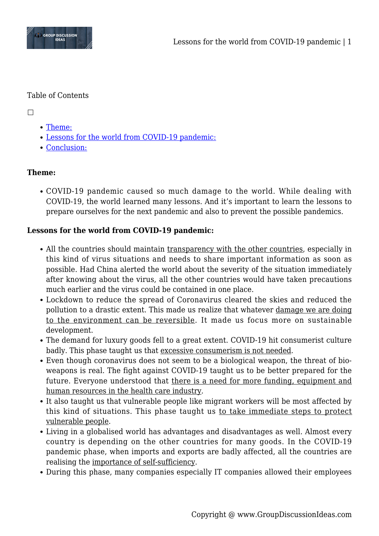

## Table of Contents

 $\Box$ 

- [Theme:](#page--1-0)
- [Lessons for the world from COVID-19 pandemic:](#page--1-0)
- [Conclusion:](#page--1-0)

# **Theme:**

COVID-19 pandemic caused so much damage to the world. While dealing with COVID-19, the world learned many lessons. And it's important to learn the lessons to prepare ourselves for the next pandemic and also to prevent the possible pandemics.

# **Lessons for the world from COVID-19 pandemic:**

- All the countries should maintain transparency with the other countries, especially in this kind of virus situations and needs to share important information as soon as possible. Had China alerted the world about the severity of the situation immediately after knowing about the virus, all the other countries would have taken precautions much earlier and the virus could be contained in one place.
- Lockdown to reduce the spread of Coronavirus cleared the skies and reduced the pollution to a drastic extent. This made us realize that whatever damage we are doing to the environment can be reversible. It made us focus more on sustainable development.
- The demand for luxury goods fell to a great extent. COVID-19 hit consumerist culture badly. This phase taught us that excessive consumerism is not needed.
- Even though coronavirus does not seem to be a biological weapon, the threat of bioweapons is real. The fight against COVID-19 taught us to be better prepared for the future. Everyone understood that there is a need for more funding, equipment and human resources in the health care industry.
- It also taught us that vulnerable people like migrant workers will be most affected by this kind of situations. This phase taught us to take immediate steps to protect vulnerable people.
- Living in a globalised world has advantages and disadvantages as well. Almost every country is depending on the other countries for many goods. In the COVID-19 pandemic phase, when imports and exports are badly affected, all the countries are realising the importance of self-sufficiency.
- During this phase, many companies especially IT companies allowed their employees